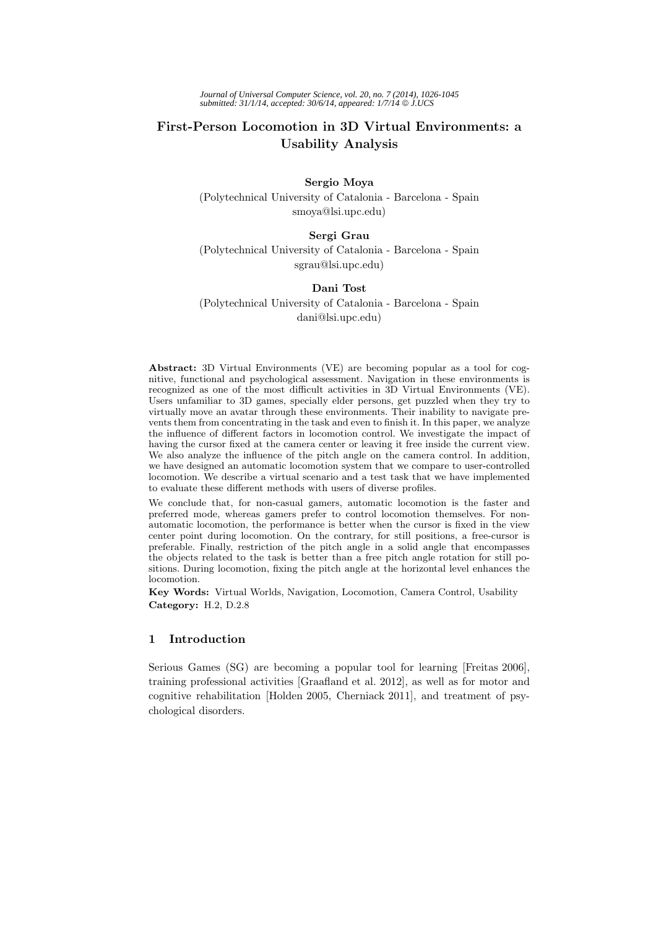# **First-Person Locomotion in 3D Virtual Environments: a Usability Analysis**

# **Sergio Moya** (Polytechnical University of Catalonia - Barcelona - Spain smoya@lsi.upc.edu)

## **Sergi Grau**

(Polytechnical University of Catalonia - Barcelona - Spain sgrau@lsi.upc.edu)

# **Dani Tost**

(Polytechnical University of Catalonia - Barcelona - Spain dani@lsi.upc.edu)

**Abstract:** 3D Virtual Environments (VE) are becoming popular as a tool for cognitive, functional and psychological assessment. Navigation in these environments is recognized as one of the most difficult activities in 3D Virtual Environments (VE). Users unfamiliar to 3D games, specially elder persons, get puzzled when they try to virtually move an avatar through these environments. Their inability to navigate prevents them from concentrating in the task and even to finish it. In this paper, we analyze the influence of different factors in locomotion control. We investigate the impact of having the cursor fixed at the camera center or leaving it free inside the current view. We also analyze the influence of the pitch angle on the camera control. In addition, we have designed an automatic locomotion system that we compare to user-controlled locomotion. We describe a virtual scenario and a test task that we have implemented to evaluate these different methods with users of diverse profiles.

We conclude that, for non-casual gamers, automatic locomotion is the faster and preferred mode, whereas gamers prefer to control locomotion themselves. For nonautomatic locomotion, the performance is better when the cursor is fixed in the view center point during locomotion. On the contrary, for still positions, a free-cursor is preferable. Finally, restriction of the pitch angle in a solid angle that encompasses the objects related to the task is better than a free pitch angle rotation for still positions. During locomotion, fixing the pitch angle at the horizontal level enhances the locomotion.

**Key Words:** Virtual Worlds, Navigation, Locomotion, Camera Control, Usability **Category:** H.2, D.2.8

# **1 Introduction**

Serious Games (SG) are becoming a popular tool for learning [Freitas 2006], training professional activities [Graafland et al. 2012], as well as for motor and cognitive rehabilitation [Holden 2005, Cherniack 2011], and treatment of psychological disorders.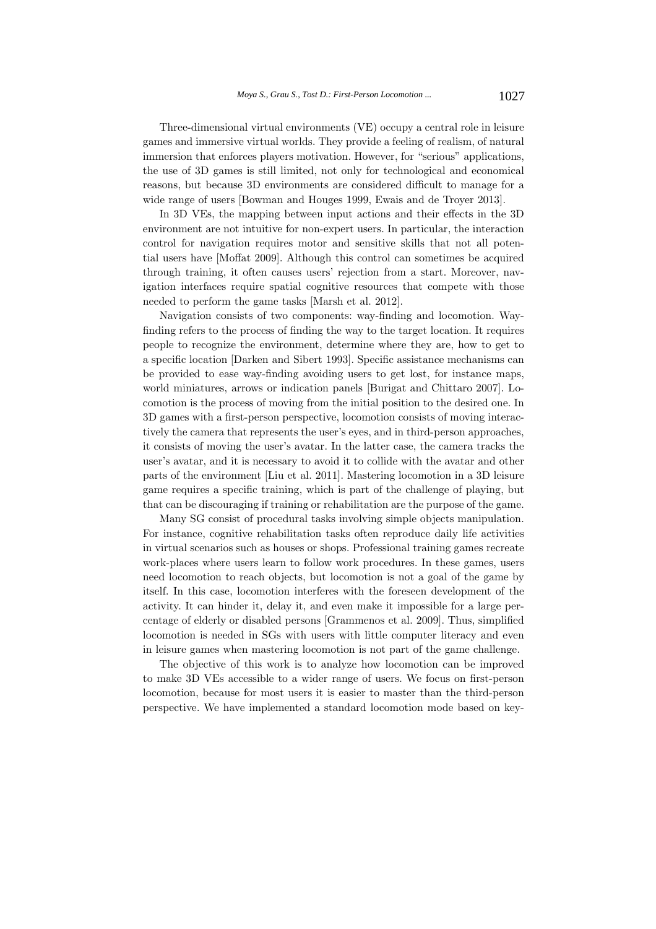Three-dimensional virtual environments (VE) occupy a central role in leisure games and immersive virtual worlds. They provide a feeling of realism, of natural immersion that enforces players motivation. However, for "serious" applications, the use of 3D games is still limited, not only for technological and economical reasons, but because 3D environments are considered difficult to manage for a wide range of users [Bowman and Houges 1999, Ewais and de Troyer 2013].

In 3D VEs, the mapping between input actions and their effects in the 3D environment are not intuitive for non-expert users. In particular, the interaction control for navigation requires motor and sensitive skills that not all potential users have [Moffat 2009]. Although this control can sometimes be acquired through training, it often causes users' rejection from a start. Moreover, navigation interfaces require spatial cognitive resources that compete with those needed to perform the game tasks [Marsh et al. 2012].

Navigation consists of two components: way-finding and locomotion. Wayfinding refers to the process of finding the way to the target location. It requires people to recognize the environment, determine where they are, how to get to a specific location [Darken and Sibert 1993]. Specific assistance mechanisms can be provided to ease way-finding avoiding users to get lost, for instance maps, world miniatures, arrows or indication panels [Burigat and Chittaro 2007]. Locomotion is the process of moving from the initial position to the desired one. In 3D games with a first-person perspective, locomotion consists of moving interactively the camera that represents the user's eyes, and in third-person approaches, it consists of moving the user's avatar. In the latter case, the camera tracks the user's avatar, and it is necessary to avoid it to collide with the avatar and other parts of the environment [Liu et al. 2011]. Mastering locomotion in a 3D leisure game requires a specific training, which is part of the challenge of playing, but that can be discouraging if training or rehabilitation are the purpose of the game.

Many SG consist of procedural tasks involving simple objects manipulation. For instance, cognitive rehabilitation tasks often reproduce daily life activities in virtual scenarios such as houses or shops. Professional training games recreate work-places where users learn to follow work procedures. In these games, users need locomotion to reach objects, but locomotion is not a goal of the game by itself. In this case, locomotion interferes with the foreseen development of the activity. It can hinder it, delay it, and even make it impossible for a large percentage of elderly or disabled persons [Grammenos et al. 2009]. Thus, simplified locomotion is needed in SGs with users with little computer literacy and even in leisure games when mastering locomotion is not part of the game challenge.

The objective of this work is to analyze how locomotion can be improved to make 3D VEs accessible to a wider range of users. We focus on first-person locomotion, because for most users it is easier to master than the third-person perspective. We have implemented a standard locomotion mode based on key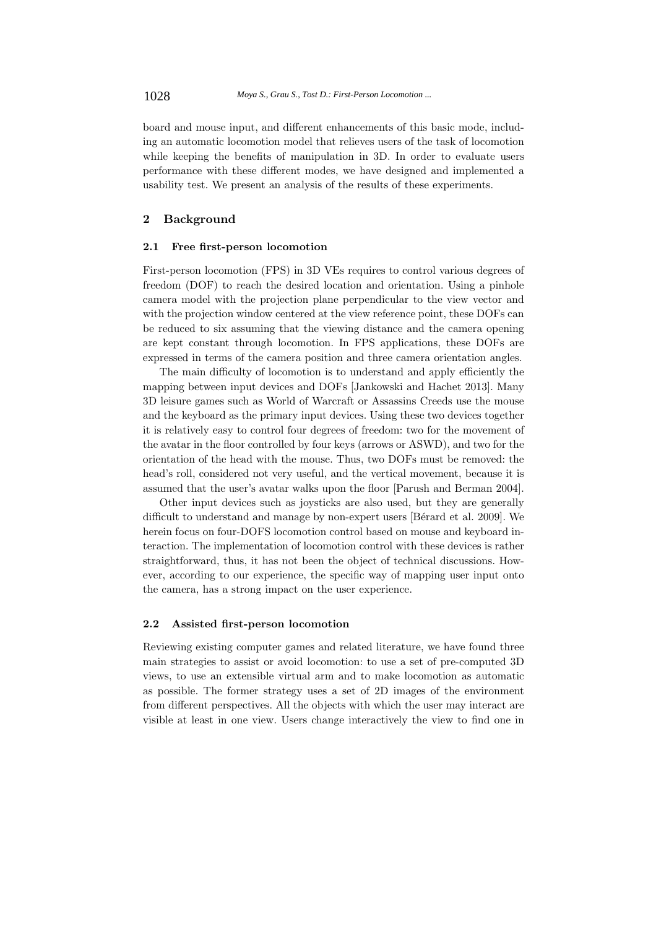board and mouse input, and different enhancements of this basic mode, including an automatic locomotion model that relieves users of the task of locomotion while keeping the benefits of manipulation in 3D. In order to evaluate users performance with these different modes, we have designed and implemented a usability test. We present an analysis of the results of these experiments.

## **2 Background**

#### **2.1 Free first-person locomotion**

First-person locomotion (FPS) in 3D VEs requires to control various degrees of freedom (DOF) to reach the desired location and orientation. Using a pinhole camera model with the projection plane perpendicular to the view vector and with the projection window centered at the view reference point, these DOFs can be reduced to six assuming that the viewing distance and the camera opening are kept constant through locomotion. In FPS applications, these DOFs are expressed in terms of the camera position and three camera orientation angles.

The main difficulty of locomotion is to understand and apply efficiently the mapping between input devices and DOFs [Jankowski and Hachet 2013]. Many 3D leisure games such as World of Warcraft or Assassins Creeds use the mouse and the keyboard as the primary input devices. Using these two devices together it is relatively easy to control four degrees of freedom: two for the movement of the avatar in the floor controlled by four keys (arrows or ASWD), and two for the orientation of the head with the mouse. Thus, two DOFs must be removed: the head's roll, considered not very useful, and the vertical movement, because it is assumed that the user's avatar walks upon the floor [Parush and Berman 2004].

Other input devices such as joysticks are also used, but they are generally difficult to understand and manage by non-expert users [Bérard et al. 2009]. We herein focus on four-DOFS locomotion control based on mouse and keyboard interaction. The implementation of locomotion control with these devices is rather straightforward, thus, it has not been the object of technical discussions. However, according to our experience, the specific way of mapping user input onto the camera, has a strong impact on the user experience.

#### **2.2 Assisted first-person locomotion**

Reviewing existing computer games and related literature, we have found three main strategies to assist or avoid locomotion: to use a set of pre-computed 3D views, to use an extensible virtual arm and to make locomotion as automatic as possible. The former strategy uses a set of 2D images of the environment from different perspectives. All the objects with which the user may interact are visible at least in one view. Users change interactively the view to find one in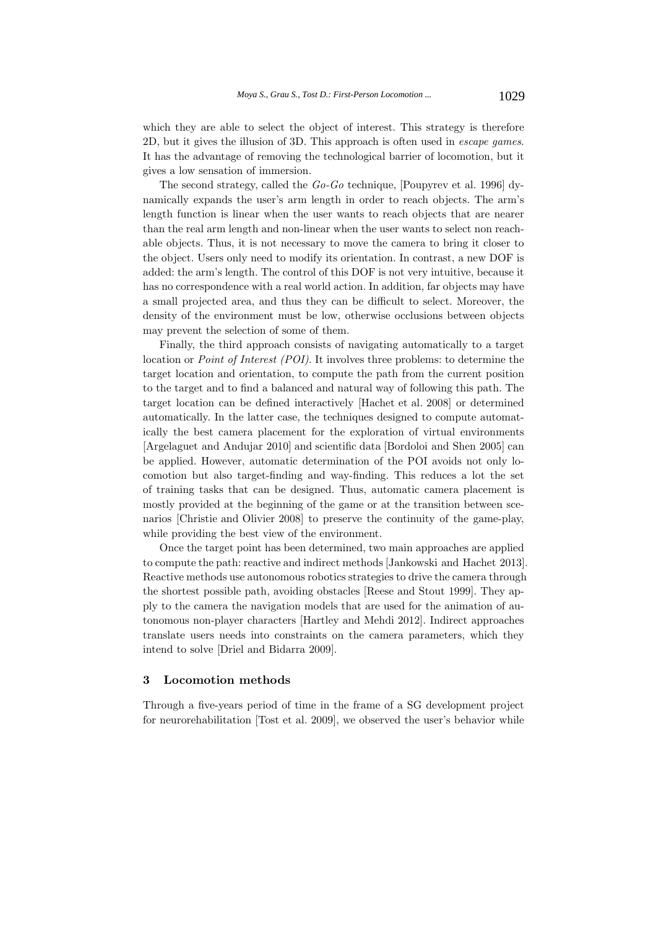which they are able to select the object of interest. This strategy is therefore 2D, but it gives the illusion of 3D. This approach is often used in *escape games*. It has the advantage of removing the technological barrier of locomotion, but it gives a low sensation of immersion.

The second strategy, called the *Go-Go* technique, [Poupyrev et al. 1996] dynamically expands the user's arm length in order to reach objects. The arm's length function is linear when the user wants to reach objects that are nearer than the real arm length and non-linear when the user wants to select non reachable objects. Thus, it is not necessary to move the camera to bring it closer to the object. Users only need to modify its orientation. In contrast, a new DOF is added: the arm's length. The control of this DOF is not very intuitive, because it has no correspondence with a real world action. In addition, far objects may have a small projected area, and thus they can be difficult to select. Moreover, the density of the environment must be low, otherwise occlusions between objects may prevent the selection of some of them.

Finally, the third approach consists of navigating automatically to a target location or *Point of Interest (POI)*. It involves three problems: to determine the target location and orientation, to compute the path from the current position to the target and to find a balanced and natural way of following this path. The target location can be defined interactively [Hachet et al. 2008] or determined automatically. In the latter case, the techniques designed to compute automatically the best camera placement for the exploration of virtual environments [Argelaguet and Andujar 2010] and scientific data [Bordoloi and Shen 2005] can be applied. However, automatic determination of the POI avoids not only locomotion but also target-finding and way-finding. This reduces a lot the set of training tasks that can be designed. Thus, automatic camera placement is mostly provided at the beginning of the game or at the transition between scenarios [Christie and Olivier 2008] to preserve the continuity of the game-play, while providing the best view of the environment.

Once the target point has been determined, two main approaches are applied to compute the path: reactive and indirect methods [Jankowski and Hachet 2013]. Reactive methods use autonomous robotics strategies to drive the camera through the shortest possible path, avoiding obstacles [Reese and Stout 1999]. They apply to the camera the navigation models that are used for the animation of autonomous non-player characters [Hartley and Mehdi 2012]. Indirect approaches translate users needs into constraints on the camera parameters, which they intend to solve [Driel and Bidarra 2009].

## **3 Locomotion methods**

Through a five-years period of time in the frame of a SG development project for neurorehabilitation [Tost et al. 2009], we observed the user's behavior while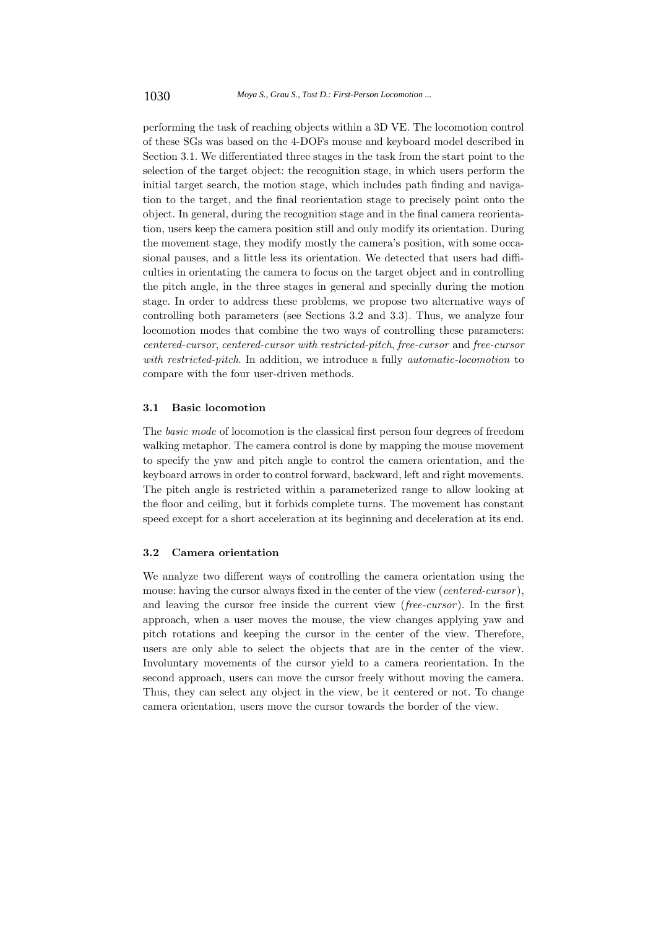performing the task of reaching objects within a 3D VE. The locomotion control of these SGs was based on the 4-DOFs mouse and keyboard model described in Section 3.1. We differentiated three stages in the task from the start point to the selection of the target object: the recognition stage, in which users perform the initial target search, the motion stage, which includes path finding and navigation to the target, and the final reorientation stage to precisely point onto the object. In general, during the recognition stage and in the final camera reorientation, users keep the camera position still and only modify its orientation. During the movement stage, they modify mostly the camera's position, with some occasional pauses, and a little less its orientation. We detected that users had difficulties in orientating the camera to focus on the target object and in controlling the pitch angle, in the three stages in general and specially during the motion stage. In order to address these problems, we propose two alternative ways of controlling both parameters (see Sections 3.2 and 3.3). Thus, we analyze four locomotion modes that combine the two ways of controlling these parameters: *centered-cursor*, *centered-cursor with restricted-pitch*, *free-cursor* and *free-cursor with restricted-pitch*. In addition, we introduce a fully *automatic-locomotion* to compare with the four user-driven methods.

#### **3.1 Basic locomotion**

The *basic mode* of locomotion is the classical first person four degrees of freedom walking metaphor. The camera control is done by mapping the mouse movement to specify the yaw and pitch angle to control the camera orientation, and the keyboard arrows in order to control forward, backward, left and right movements. The pitch angle is restricted within a parameterized range to allow looking at the floor and ceiling, but it forbids complete turns. The movement has constant speed except for a short acceleration at its beginning and deceleration at its end.

#### **3.2 Camera orientation**

We analyze two different ways of controlling the camera orientation using the mouse: having the cursor always fixed in the center of the view (*centered-cursor* ), and leaving the cursor free inside the current view (*free-cursor* ). In the first approach, when a user moves the mouse, the view changes applying yaw and pitch rotations and keeping the cursor in the center of the view. Therefore, users are only able to select the objects that are in the center of the view. Involuntary movements of the cursor yield to a camera reorientation. In the second approach, users can move the cursor freely without moving the camera. Thus, they can select any object in the view, be it centered or not. To change camera orientation, users move the cursor towards the border of the view.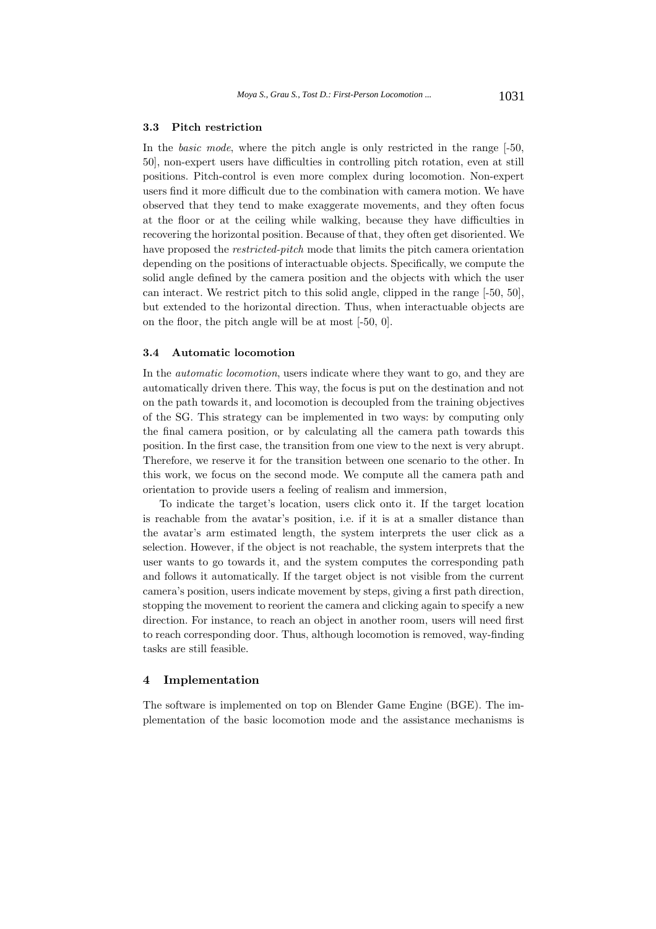#### **3.3 Pitch restriction**

In the *basic mode*, where the pitch angle is only restricted in the range [-50, 50], non-expert users have difficulties in controlling pitch rotation, even at still positions. Pitch-control is even more complex during locomotion. Non-expert users find it more difficult due to the combination with camera motion. We have observed that they tend to make exaggerate movements, and they often focus at the floor or at the ceiling while walking, because they have difficulties in recovering the horizontal position. Because of that, they often get disoriented. We have proposed the *restricted-pitch* mode that limits the pitch camera orientation depending on the positions of interactuable objects. Specifically, we compute the solid angle defined by the camera position and the objects with which the user can interact. We restrict pitch to this solid angle, clipped in the range [-50, 50], but extended to the horizontal direction. Thus, when interactuable objects are on the floor, the pitch angle will be at most [-50, 0].

#### **3.4 Automatic locomotion**

In the *automatic locomotion*, users indicate where they want to go, and they are automatically driven there. This way, the focus is put on the destination and not on the path towards it, and locomotion is decoupled from the training objectives of the SG. This strategy can be implemented in two ways: by computing only the final camera position, or by calculating all the camera path towards this position. In the first case, the transition from one view to the next is very abrupt. Therefore, we reserve it for the transition between one scenario to the other. In this work, we focus on the second mode. We compute all the camera path and orientation to provide users a feeling of realism and immersion,

To indicate the target's location, users click onto it. If the target location is reachable from the avatar's position, i.e. if it is at a smaller distance than the avatar's arm estimated length, the system interprets the user click as a selection. However, if the object is not reachable, the system interprets that the user wants to go towards it, and the system computes the corresponding path and follows it automatically. If the target object is not visible from the current camera's position, users indicate movement by steps, giving a first path direction, stopping the movement to reorient the camera and clicking again to specify a new direction. For instance, to reach an object in another room, users will need first to reach corresponding door. Thus, although locomotion is removed, way-finding tasks are still feasible.

#### **4 Implementation**

The software is implemented on top on Blender Game Engine (BGE). The implementation of the basic locomotion mode and the assistance mechanisms is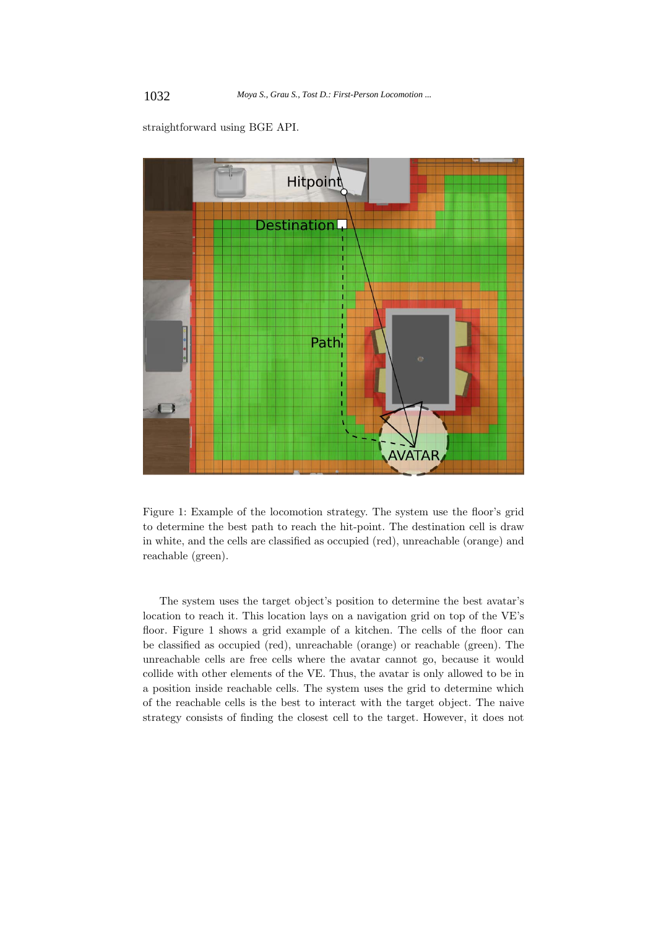

straightforward using BGE API.

Figure 1: Example of the locomotion strategy. The system use the floor's grid to determine the best path to reach the hit-point. The destination cell is draw in white, and the cells are classified as occupied (red), unreachable (orange) and reachable (green).

The system uses the target object's position to determine the best avatar's location to reach it. This location lays on a navigation grid on top of the VE's floor. Figure 1 shows a grid example of a kitchen. The cells of the floor can be classified as occupied (red), unreachable (orange) or reachable (green). The unreachable cells are free cells where the avatar cannot go, because it would collide with other elements of the VE. Thus, the avatar is only allowed to be in a position inside reachable cells. The system uses the grid to determine which of the reachable cells is the best to interact with the target object. The naive strategy consists of finding the closest cell to the target. However, it does not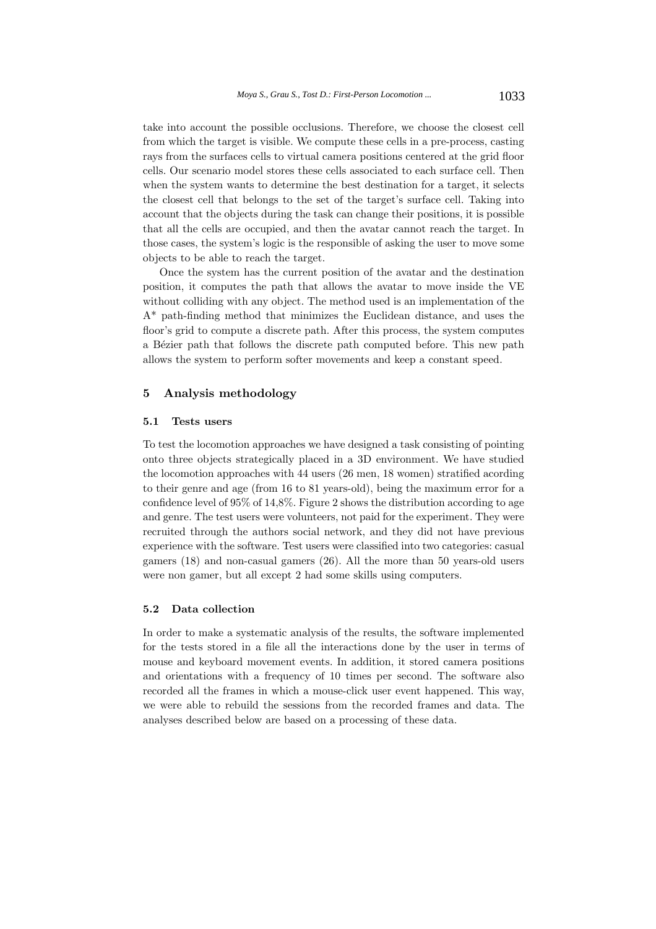take into account the possible occlusions. Therefore, we choose the closest cell from which the target is visible. We compute these cells in a pre-process, casting rays from the surfaces cells to virtual camera positions centered at the grid floor cells. Our scenario model stores these cells associated to each surface cell. Then when the system wants to determine the best destination for a target, it selects the closest cell that belongs to the set of the target's surface cell. Taking into account that the objects during the task can change their positions, it is possible that all the cells are occupied, and then the avatar cannot reach the target. In those cases, the system's logic is the responsible of asking the user to move some objects to be able to reach the target.

Once the system has the current position of the avatar and the destination position, it computes the path that allows the avatar to move inside the VE without colliding with any object. The method used is an implementation of the A\* path-finding method that minimizes the Euclidean distance, and uses the floor's grid to compute a discrete path. After this process, the system computes a Bézier path that follows the discrete path computed before. This new path allows the system to perform softer movements and keep a constant speed.

## **5 Analysis methodology**

#### **5.1 Tests users**

To test the locomotion approaches we have designed a task consisting of pointing onto three objects strategically placed in a 3D environment. We have studied the locomotion approaches with 44 users (26 men, 18 women) stratified acording to their genre and age (from 16 to 81 years-old), being the maximum error for a confidence level of 95% of 14,8%. Figure 2 shows the distribution according to age and genre. The test users were volunteers, not paid for the experiment. They were recruited through the authors social network, and they did not have previous experience with the software. Test users were classified into two categories: casual gamers (18) and non-casual gamers (26). All the more than 50 years-old users were non gamer, but all except 2 had some skills using computers.

## **5.2 Data collection**

In order to make a systematic analysis of the results, the software implemented for the tests stored in a file all the interactions done by the user in terms of mouse and keyboard movement events. In addition, it stored camera positions and orientations with a frequency of 10 times per second. The software also recorded all the frames in which a mouse-click user event happened. This way, we were able to rebuild the sessions from the recorded frames and data. The analyses described below are based on a processing of these data.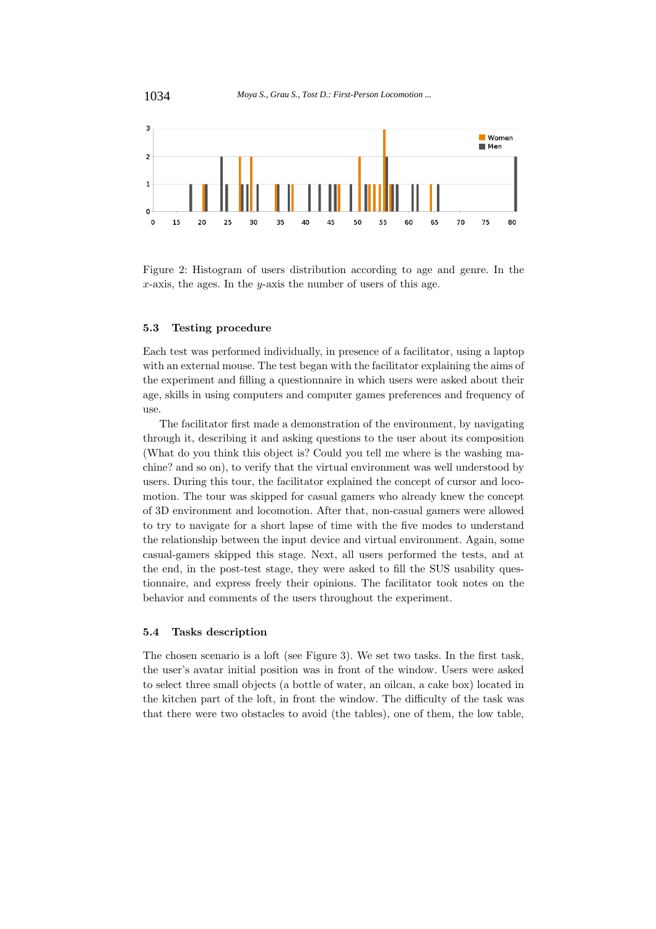

Figure 2: Histogram of users distribution according to age and genre. In the *x*-axis, the ages. In the *y*-axis the number of users of this age.

#### **5.3 Testing procedure**

Each test was performed individually, in presence of a facilitator, using a laptop with an external mouse. The test began with the facilitator explaining the aims of the experiment and filling a questionnaire in which users were asked about their age, skills in using computers and computer games preferences and frequency of use.

The facilitator first made a demonstration of the environment, by navigating through it, describing it and asking questions to the user about its composition (What do you think this object is? Could you tell me where is the washing machine? and so on), to verify that the virtual environment was well understood by users. During this tour, the facilitator explained the concept of cursor and locomotion. The tour was skipped for casual gamers who already knew the concept of 3D environment and locomotion. After that, non-casual gamers were allowed to try to navigate for a short lapse of time with the five modes to understand the relationship between the input device and virtual environment. Again, some casual-gamers skipped this stage. Next, all users performed the tests, and at the end, in the post-test stage, they were asked to fill the SUS usability questionnaire, and express freely their opinions. The facilitator took notes on the behavior and comments of the users throughout the experiment.

# **5.4 Tasks description**

The chosen scenario is a loft (see Figure 3). We set two tasks. In the first task, the user's avatar initial position was in front of the window. Users were asked to select three small objects (a bottle of water, an oilcan, a cake box) located in the kitchen part of the loft, in front the window. The difficulty of the task was that there were two obstacles to avoid (the tables), one of them, the low table,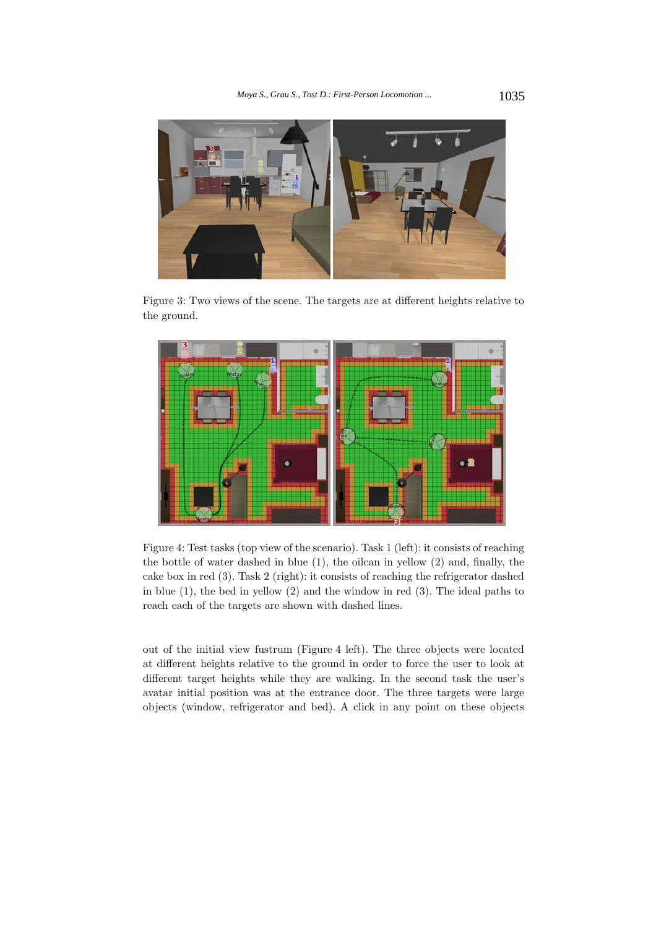

Figure 3: Two views of the scene. The targets are at different heights relative to the ground.



Figure 4: Test tasks (top view of the scenario). Task 1 (left): it consists of reaching the bottle of water dashed in blue (1), the oilcan in yellow (2) and, finally, the cake box in red (3). Task 2 (right): it consists of reaching the refrigerator dashed in blue (1), the bed in yellow (2) and the window in red (3). The ideal paths to reach each of the targets are shown with dashed lines.

out of the initial view fustrum (Figure 4 left). The three objects were located at different heights relative to the ground in order to force the user to look at different target heights while they are walking. In the second task the user's avatar initial position was at the entrance door. The three targets were large objects (window, refrigerator and bed). A click in any point on these objects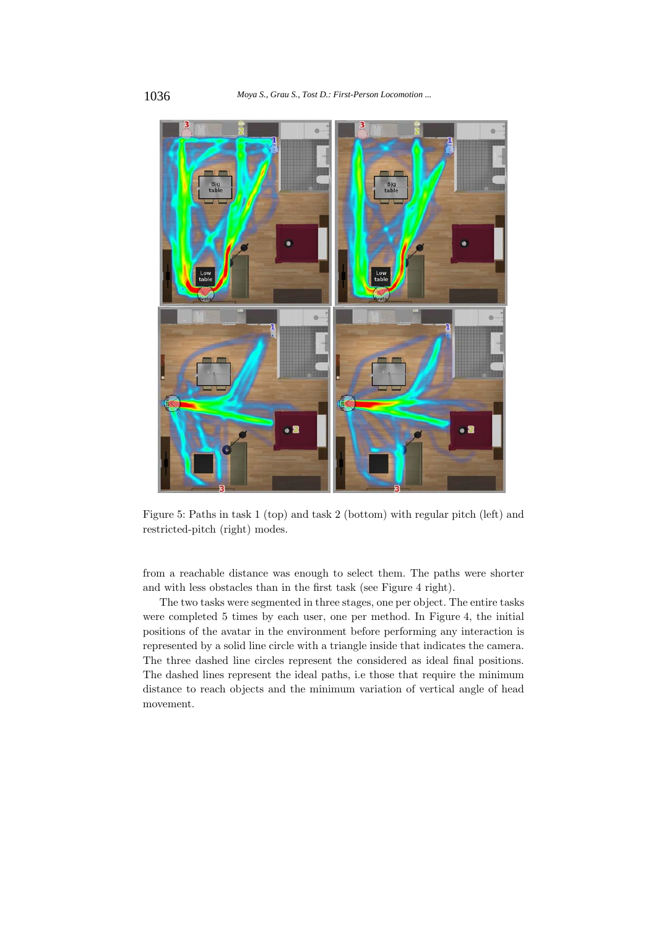

Figure 5: Paths in task 1 (top) and task 2 (bottom) with regular pitch (left) and restricted-pitch (right) modes.

from a reachable distance was enough to select them. The paths were shorter and with less obstacles than in the first task (see Figure 4 right).

The two tasks were segmented in three stages, one per object. The entire tasks were completed 5 times by each user, one per method. In Figure 4, the initial positions of the avatar in the environment before performing any interaction is represented by a solid line circle with a triangle inside that indicates the camera. The three dashed line circles represent the considered as ideal final positions. The dashed lines represent the ideal paths, i.e those that require the minimum distance to reach objects and the minimum variation of vertical angle of head movement.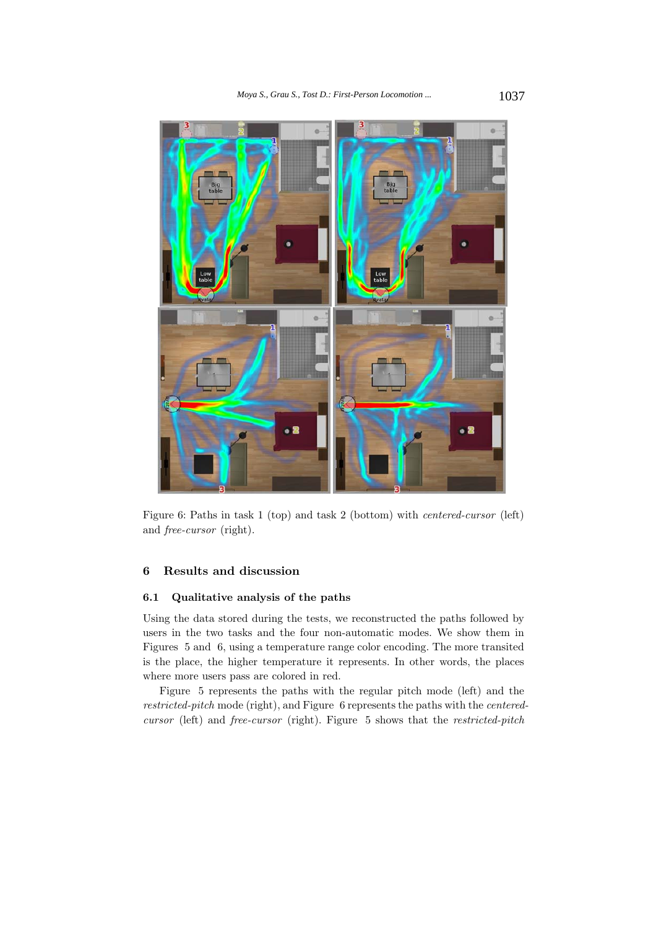

Figure 6: Paths in task 1 (top) and task 2 (bottom) with *centered-cursor* (left) and *free-cursor* (right).

# **6 Results and discussion**

# **6.1 Qualitative analysis of the paths**

Using the data stored during the tests, we reconstructed the paths followed by users in the two tasks and the four non-automatic modes. We show them in Figures 5 and 6, using a temperature range color encoding. The more transited is the place, the higher temperature it represents. In other words, the places where more users pass are colored in red.

Figure 5 represents the paths with the regular pitch mode (left) and the *restricted-pitch* mode (right), and Figure 6 represents the paths with the *centeredcursor* (left) and *free-cursor* (right). Figure 5 shows that the *restricted-pitch*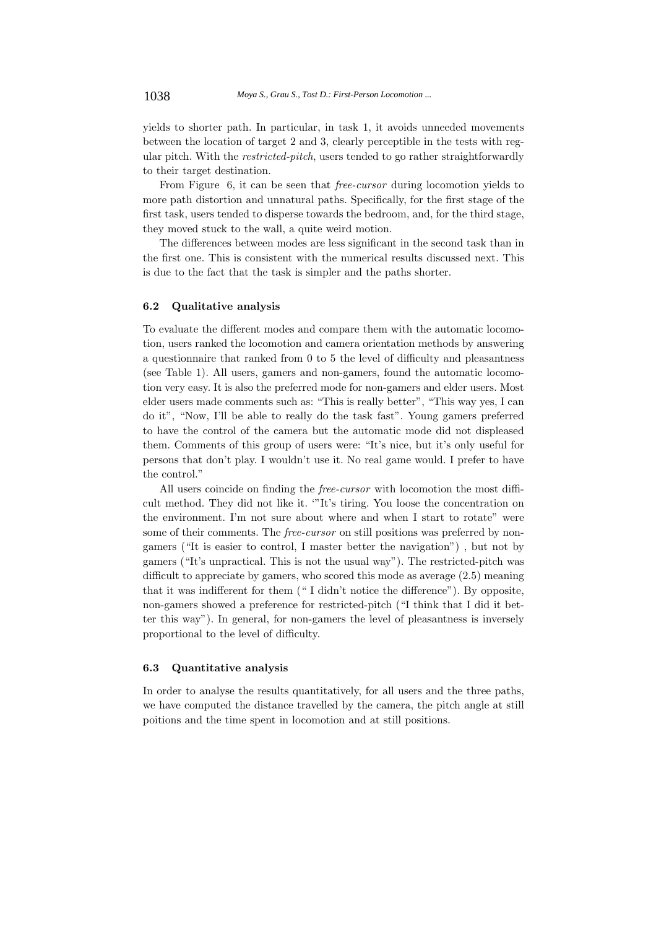yields to shorter path. In particular, in task 1, it avoids unneeded movements between the location of target 2 and 3, clearly perceptible in the tests with regular pitch. With the *restricted-pitch*, users tended to go rather straightforwardly to their target destination.

From Figure 6, it can be seen that *free-cursor* during locomotion yields to more path distortion and unnatural paths. Specifically, for the first stage of the first task, users tended to disperse towards the bedroom, and, for the third stage, they moved stuck to the wall, a quite weird motion.

The differences between modes are less significant in the second task than in the first one. This is consistent with the numerical results discussed next. This is due to the fact that the task is simpler and the paths shorter.

## **6.2 Qualitative analysis**

To evaluate the different modes and compare them with the automatic locomotion, users ranked the locomotion and camera orientation methods by answering a questionnaire that ranked from 0 to 5 the level of difficulty and pleasantness (see Table 1). All users, gamers and non-gamers, found the automatic locomotion very easy. It is also the preferred mode for non-gamers and elder users. Most elder users made comments such as: "This is really better", "This way yes, I can do it", "Now, I'll be able to really do the task fast". Young gamers preferred to have the control of the camera but the automatic mode did not displeased them. Comments of this group of users were: "It's nice, but it's only useful for persons that don't play. I wouldn't use it. No real game would. I prefer to have the control."

All users coincide on finding the *free-cursor* with locomotion the most difficult method. They did not like it. '"It's tiring. You loose the concentration on the environment. I'm not sure about where and when I start to rotate" were some of their comments. The *free-cursor* on still positions was preferred by nongamers ("It is easier to control, I master better the navigation") , but not by gamers ("It's unpractical. This is not the usual way"). The restricted-pitch was difficult to appreciate by gamers, who scored this mode as average (2.5) meaning that it was indifferent for them (" I didn't notice the difference"). By opposite, non-gamers showed a preference for restricted-pitch ("I think that I did it better this way"). In general, for non-gamers the level of pleasantness is inversely proportional to the level of difficulty.

#### **6.3 Quantitative analysis**

In order to analyse the results quantitatively, for all users and the three paths, we have computed the distance travelled by the camera, the pitch angle at still poitions and the time spent in locomotion and at still positions.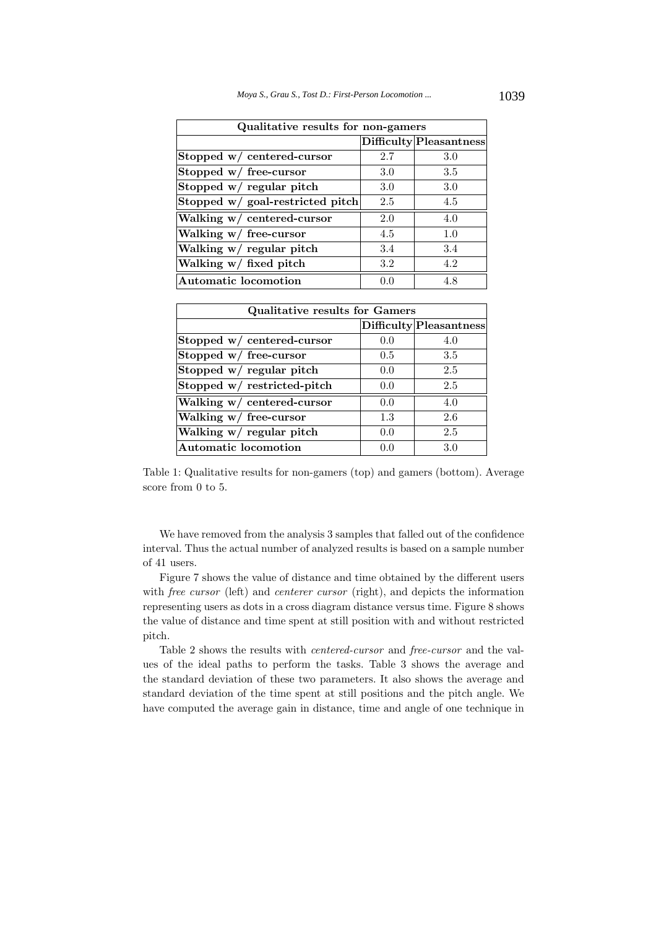| Qualitative results for non-gamers |     |                         |  |  |  |  |
|------------------------------------|-----|-------------------------|--|--|--|--|
|                                    |     | Difficulty Pleasantness |  |  |  |  |
| Stopped w/ centered-cursor         | 2.7 | 3.0                     |  |  |  |  |
| Stopped $w/$ free-cursor           | 3.0 | 3.5                     |  |  |  |  |
| Stopped w/ regular pitch           | 3.0 | 3.0                     |  |  |  |  |
| Stopped w/ goal-restricted pitch   | 2.5 | 4.5                     |  |  |  |  |
| Walking w/ centered-cursor         | 2.0 | 4.0                     |  |  |  |  |
| Walking $w/$ free-cursor           | 4.5 | 1.0                     |  |  |  |  |
| Walking w/ regular pitch           | 3.4 | 3.4                     |  |  |  |  |
| Walking $w/$ fixed pitch           | 3.2 | 4.2                     |  |  |  |  |
| Automatic locomotion               | 0.0 | 4.8                     |  |  |  |  |

| <b>Qualitative results for Gamers</b> |     |                         |  |  |  |  |
|---------------------------------------|-----|-------------------------|--|--|--|--|
|                                       |     | Difficulty Pleasantness |  |  |  |  |
| Stopped w/ centered-cursor            | 0.0 | 4.0                     |  |  |  |  |
| Stopped w/ free-cursor                | 0.5 | 3.5                     |  |  |  |  |
| Stopped w/ regular pitch              | 0.0 | 2.5                     |  |  |  |  |
| Stopped w/ restricted-pitch           | 0.0 | 2.5                     |  |  |  |  |
| Walking w/ centered-cursor            | 0.0 | 4.0                     |  |  |  |  |
| Walking w/ free-cursor                | 1.3 | 2.6                     |  |  |  |  |
| Walking w/ regular pitch              | 0.0 | 2.5                     |  |  |  |  |
| <b>Automatic locomotion</b>           | 00  | 3 O                     |  |  |  |  |

Table 1: Qualitative results for non-gamers (top) and gamers (bottom). Average score from 0 to 5.

We have removed from the analysis 3 samples that falled out of the confidence interval. Thus the actual number of analyzed results is based on a sample number of 41 users.

Figure 7 shows the value of distance and time obtained by the different users with *free cursor* (left) and *centerer cursor* (right), and depicts the information representing users as dots in a cross diagram distance versus time. Figure 8 shows the value of distance and time spent at still position with and without restricted pitch.

Table 2 shows the results with *centered-cursor* and *free-cursor* and the values of the ideal paths to perform the tasks. Table 3 shows the average and the standard deviation of these two parameters. It also shows the average and standard deviation of the time spent at still positions and the pitch angle. We have computed the average gain in distance, time and angle of one technique in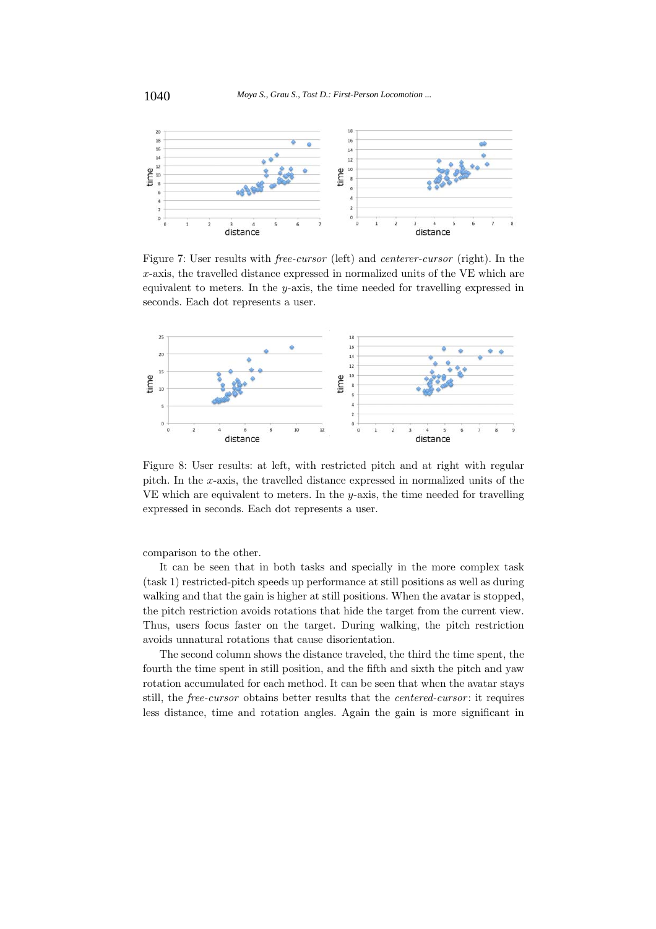

Figure 7: User results with *free-cursor* (left) and *centerer-cursor* (right). In the *x*-axis, the travelled distance expressed in normalized units of the VE which are equivalent to meters. In the *y*-axis, the time needed for travelling expressed in seconds. Each dot represents a user.



Figure 8: User results: at left, with restricted pitch and at right with regular pitch. In the *x*-axis, the travelled distance expressed in normalized units of the VE which are equivalent to meters. In the *y*-axis, the time needed for travelling expressed in seconds. Each dot represents a user.

comparison to the other.

It can be seen that in both tasks and specially in the more complex task (task 1) restricted-pitch speeds up performance at still positions as well as during walking and that the gain is higher at still positions. When the avatar is stopped, the pitch restriction avoids rotations that hide the target from the current view. Thus, users focus faster on the target. During walking, the pitch restriction avoids unnatural rotations that cause disorientation.

The second column shows the distance traveled, the third the time spent, the fourth the time spent in still position, and the fifth and sixth the pitch and yaw rotation accumulated for each method. It can be seen that when the avatar stays still, the *free-cursor* obtains better results that the *centered-cursor* : it requires less distance, time and rotation angles. Again the gain is more significant in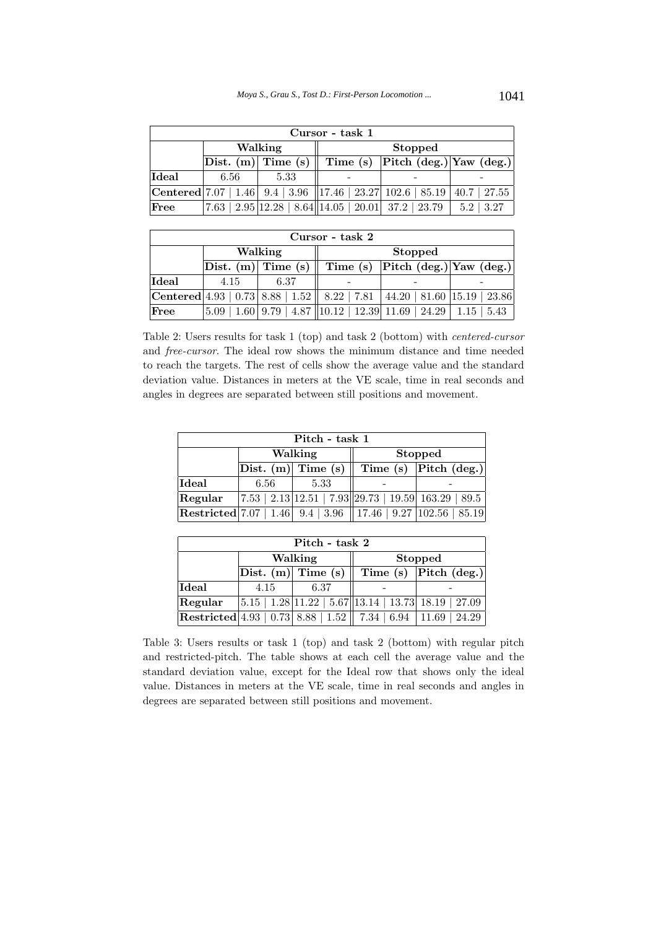| Cursor - task 1 |      |                            |         |                                                                                         |                          |  |  |  |  |
|-----------------|------|----------------------------|---------|-----------------------------------------------------------------------------------------|--------------------------|--|--|--|--|
|                 |      | Walking                    | Stopped |                                                                                         |                          |  |  |  |  |
|                 |      | $\vert$ Dist. (m) Time (s) |         | Time (s) Pitch (deg.) Yaw (deg.)                                                        |                          |  |  |  |  |
| Ideal           | 6.56 | 5.33                       |         |                                                                                         |                          |  |  |  |  |
|                 |      |                            |         | <b>Centered</b> 7.07   1.46   9.4   3.96   17.46   23.27   102.6   85.19   40.7   27.55 |                          |  |  |  |  |
| $\rm_{Free}$    |      |                            |         | $7.63   2.95   12.28   8.64   14.05   20.01   37.2   23.79$                             | 3.27<br>5.2 <sub>1</sub> |  |  |  |  |

| Cursor - task 2 |                        |         |                                  |                                                                                            |                  |  |  |  |
|-----------------|------------------------|---------|----------------------------------|--------------------------------------------------------------------------------------------|------------------|--|--|--|
|                 |                        | Walking |                                  | <b>Stopped</b>                                                                             |                  |  |  |  |
|                 | Dist. $(m)$ Time $(s)$ |         | Time (s) Pitch (deg.) Yaw (deg.) |                                                                                            |                  |  |  |  |
| Ideal           | 4.15                   | 6.37    |                                  |                                                                                            |                  |  |  |  |
|                 |                        |         |                                  | $ {\rm Centered} 4.93 $ $ 0.73 $ 8.88   1.52   8.22   7.81   44.20   81.60   15.19   23.86 |                  |  |  |  |
| $ {\rm Free} $  | 5.09                   |         |                                  | $1.60 \mid 9.79 \mid 4.87 \mid 10.12 \mid 12.39 \mid 11.69 \mid 24.29 \mid$                | $1.15 \mid 5.43$ |  |  |  |

Table 2: Users results for task 1 (top) and task 2 (bottom) with *centered-cursor* and *free-cursor*. The ideal row shows the minimum distance and time needed to reach the targets. The rest of cells show the average value and the standard deviation value. Distances in meters at the VE scale, time in real seconds and angles in degrees are separated between still positions and movement.

| Pitch - task 1 |                                                                |         |                |                                                                                                |  |  |  |  |
|----------------|----------------------------------------------------------------|---------|----------------|------------------------------------------------------------------------------------------------|--|--|--|--|
|                |                                                                | Walking | <b>Stopped</b> |                                                                                                |  |  |  |  |
|                | Time (s) $ $ Pitch (deg.) $ $<br>$ \text{Dist. (m)} $ Time (s) |         |                |                                                                                                |  |  |  |  |
| Ideal          | 5.33<br>6.56                                                   |         |                |                                                                                                |  |  |  |  |
| Regular        |                                                                |         |                | $\vert 7.53 \vert 2.13 \vert 12.51 \vert 7.93 \vert 29.73 \vert 19.59 \vert 163.29 \vert 89.5$ |  |  |  |  |
|                |                                                                |         |                | <b>Restricted</b> 7.07   1.46   9.4   3.96   17.46   9.27   102.56   85.19                     |  |  |  |  |

| Pitch - task 2 |                    |                               |                                                            |                                                          |  |  |  |  |  |
|----------------|--------------------|-------------------------------|------------------------------------------------------------|----------------------------------------------------------|--|--|--|--|--|
|                | Walking<br>Stopped |                               |                                                            |                                                          |  |  |  |  |  |
|                |                    | $ \text{Dist. (m)} $ Time (s) | Time (s) Pitch (deg.)                                      |                                                          |  |  |  |  |  |
| Ideal          | 4.15               | 6.37                          |                                                            |                                                          |  |  |  |  |  |
| Regular        |                    |                               |                                                            | $ 5.15 $ 1.28 11.22   5.67 13.14   13.73   18.19   27.09 |  |  |  |  |  |
|                |                    |                               | <b>Restricted</b> 4.93   0.73   8.88   1.52    7.34   6.94 | 11.69<br>24.29                                           |  |  |  |  |  |

Table 3: Users results or task 1 (top) and task 2 (bottom) with regular pitch and restricted-pitch. The table shows at each cell the average value and the standard deviation value, except for the Ideal row that shows only the ideal value. Distances in meters at the VE scale, time in real seconds and angles in degrees are separated between still positions and movement.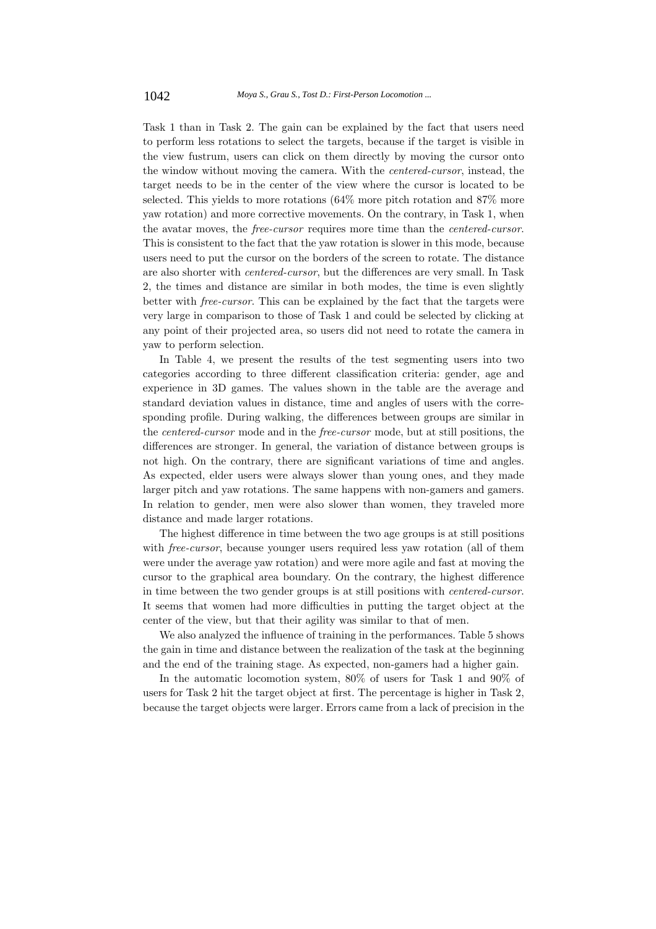Task 1 than in Task 2. The gain can be explained by the fact that users need to perform less rotations to select the targets, because if the target is visible in the view fustrum, users can click on them directly by moving the cursor onto the window without moving the camera. With the *centered-cursor*, instead, the target needs to be in the center of the view where the cursor is located to be selected. This yields to more rotations (64% more pitch rotation and 87% more yaw rotation) and more corrective movements. On the contrary, in Task 1, when the avatar moves, the *free-cursor* requires more time than the *centered-cursor*. This is consistent to the fact that the yaw rotation is slower in this mode, because users need to put the cursor on the borders of the screen to rotate. The distance are also shorter with *centered-cursor*, but the differences are very small. In Task 2, the times and distance are similar in both modes, the time is even slightly better with *free-cursor*. This can be explained by the fact that the targets were very large in comparison to those of Task 1 and could be selected by clicking at any point of their projected area, so users did not need to rotate the camera in yaw to perform selection.

In Table 4, we present the results of the test segmenting users into two categories according to three different classification criteria: gender, age and experience in 3D games. The values shown in the table are the average and standard deviation values in distance, time and angles of users with the corresponding profile. During walking, the differences between groups are similar in the *centered-cursor* mode and in the *free-cursor* mode, but at still positions, the differences are stronger. In general, the variation of distance between groups is not high. On the contrary, there are significant variations of time and angles. As expected, elder users were always slower than young ones, and they made larger pitch and yaw rotations. The same happens with non-gamers and gamers. In relation to gender, men were also slower than women, they traveled more distance and made larger rotations.

The highest difference in time between the two age groups is at still positions with *free-cursor*, because younger users required less yaw rotation (all of them were under the average yaw rotation) and were more agile and fast at moving the cursor to the graphical area boundary. On the contrary, the highest difference in time between the two gender groups is at still positions with *centered-cursor*. It seems that women had more difficulties in putting the target object at the center of the view, but that their agility was similar to that of men.

We also analyzed the influence of training in the performances. Table 5 shows the gain in time and distance between the realization of the task at the beginning and the end of the training stage. As expected, non-gamers had a higher gain.

In the automatic locomotion system, 80% of users for Task 1 and 90% of users for Task 2 hit the target object at first. The percentage is higher in Task 2, because the target objects were larger. Errors came from a lack of precision in the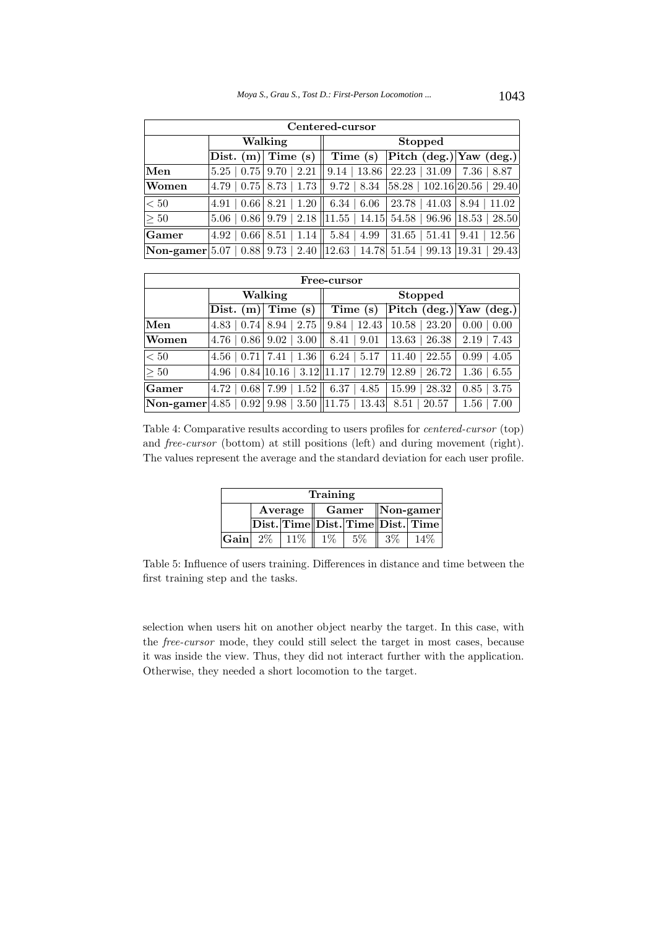| Centered-cursor                |                                   |                                                            |                        |                                               |                 |  |  |
|--------------------------------|-----------------------------------|------------------------------------------------------------|------------------------|-----------------------------------------------|-----------------|--|--|
|                                |                                   | Walking                                                    | <b>Stopped</b>         |                                               |                 |  |  |
|                                | Dist. $(m)$                       | Time (s)                                                   | Time (s)               | Pitch (deg.) Yaw (deg.)                       |                 |  |  |
| Men                            | 0.75<br>5.25                      | 2.21<br>9.70                                               | $9.14$   13.86         | 22.23<br>31.09                                | $7.36 \pm 8.87$ |  |  |
| Women                          | $4.79 \mid 0.75 \mid 8.73$        | 1.73                                                       | $9.72 \, \, 8.34$      | 58.28 102.16 20.56 29.40                      |                 |  |  |
| < 50                           | $0.66 \,   \, 8.21$<br>4.91       | 1.20                                                       | $6.34 \pm 6.06$        | 23.78<br>41.03                                | 8.94<br>11.02   |  |  |
| $\geq 50$                      | $5.06 \pm 0.86 \pm 9.79 \pm 0.00$ |                                                            | $2.18$   11.55   14.15 | $54.58 \mid 96.96 \mid 18.53 \mid 28.50 \mid$ |                 |  |  |
| Gamer                          | $\pm 0.66$<br>4.92                | 8.51<br>1.14                                               | 5.84<br>4.99           | 31.65<br>51.41                                | 12.56<br>9.41   |  |  |
| $\vert$ Non-gamer $\vert$ 5.07 |                                   | $\vert 0.88 \vert 9.73 \vert 2.40 \vert \vert 12.63 \vert$ | 14.78                  | 51.54<br>99.13                                | 29.43<br>19.31  |  |  |

| Free-cursor        |                                      |      |                                      |                        |                                                    |                  |               |                         |                   |                  |
|--------------------|--------------------------------------|------|--------------------------------------|------------------------|----------------------------------------------------|------------------|---------------|-------------------------|-------------------|------------------|
|                    | Walking                              |      |                                      | <b>Stopped</b>         |                                                    |                  |               |                         |                   |                  |
|                    | Dist. $(m)$                          |      | Time (s)                             |                        | Time (s)                                           |                  |               | Pitch (deg.) Yaw (deg.) |                   |                  |
| Men                | 4.83                                 | 0.74 | 8.94                                 | 2.75                   | 9.84                                               | 12.43            | 10.58         | 23.20                   |                   | $0.00 \mid 0.00$ |
| Women              | $4.76 \mid 0.86 \mid 9.02 \mid 3.00$ |      |                                      |                        | 8.41                                               | 9.01             | 13.63         | 26.38                   | 2.19              | 7.43             |
| < 50               | $4.56 \mid 0.71 \mid$                |      | 7.41                                 | $\perp 1.36 \parallel$ |                                                    | $6.24 \mid 5.17$ | 11.40         | 22.55                   | 0.99 <sup>°</sup> | 4.05             |
| $\geq 50$          | 4.96                                 |      |                                      |                        | $\mid 0.84 \vert 10.16 \mid 3.12 \vert 11.17 \mid$ |                  | $12.79$ 12.89 | 26.72                   |                   | $1.36 \mid 6.55$ |
| Gamer              | 4.72                                 | 0.68 | 7.99                                 | 1.52                   | 6.37                                               | 4.85             | 15.99         | 28.32                   | 0.85              | 3.75             |
| Non-gamer $ 4.85 $ |                                      |      | $\mid 0.92 \mid 9.98 \mid 3.50 \mid$ |                        | 11.75                                              | 13.43            | 8.51          | 20.57                   | $1.56\,$          | 7.00             |

Table 4: Comparative results according to users profiles for *centered-cursor* (top) and *free-cursor* (bottom) at still positions (left) and during movement (right). The values represent the average and the standard deviation for each user profile.

| Training             |  |                          |       |       |                           |                                                                                  |  |  |  |
|----------------------|--|--------------------------|-------|-------|---------------------------|----------------------------------------------------------------------------------|--|--|--|
|                      |  | $Average \parallel Game$ |       |       | $\vert$ Non-gamer $\vert$ |                                                                                  |  |  |  |
|                      |  |                          |       |       |                           | $ \text{Dist.} \text{Time}  \text{Dist.} \text{Time}  \text{Dist.} \text{Time} $ |  |  |  |
| $ {\bf Gain} $ $2\%$ |  | $11\%$                   | $1\%$ | $5\%$ | $3\%$                     | 14%                                                                              |  |  |  |

Table 5: Influence of users training. Differences in distance and time between the first training step and the tasks.

selection when users hit on another object nearby the target. In this case, with the *free-cursor* mode, they could still select the target in most cases, because it was inside the view. Thus, they did not interact further with the application. Otherwise, they needed a short locomotion to the target.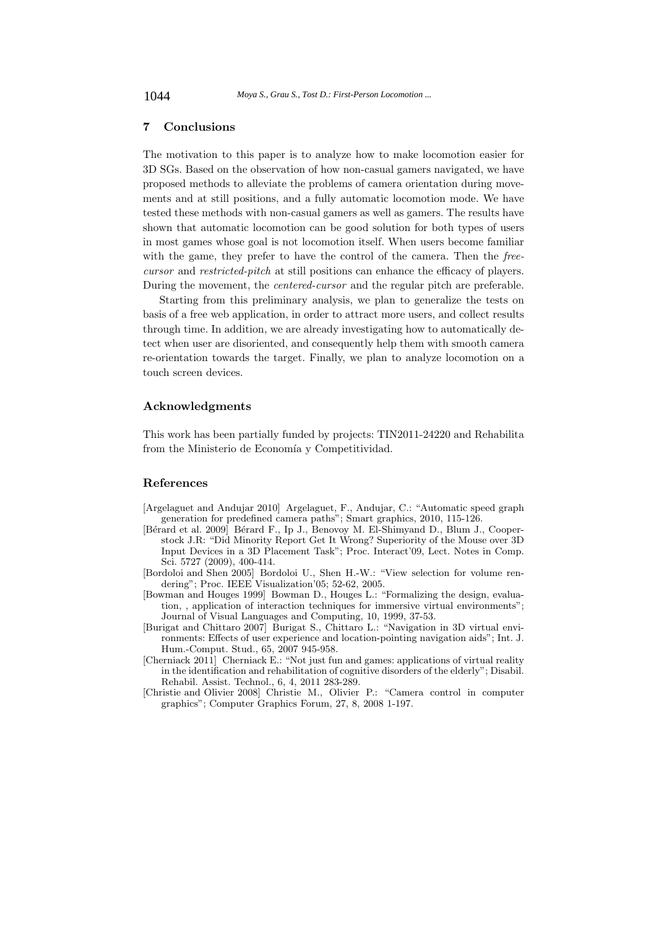## **7 Conclusions**

The motivation to this paper is to analyze how to make locomotion easier for 3D SGs. Based on the observation of how non-casual gamers navigated, we have proposed methods to alleviate the problems of camera orientation during movements and at still positions, and a fully automatic locomotion mode. We have tested these methods with non-casual gamers as well as gamers. The results have shown that automatic locomotion can be good solution for both types of users in most games whose goal is not locomotion itself. When users become familiar with the game, they prefer to have the control of the camera. Then the *freecursor* and *restricted-pitch* at still positions can enhance the efficacy of players. During the movement, the *centered-cursor* and the regular pitch are preferable.

Starting from this preliminary analysis, we plan to generalize the tests on basis of a free web application, in order to attract more users, and collect results through time. In addition, we are already investigating how to automatically detect when user are disoriented, and consequently help them with smooth camera re-orientation towards the target. Finally, we plan to analyze locomotion on a touch screen devices.

## **Acknowledgments**

This work has been partially funded by projects: TIN2011-24220 and Rehabilita from the Ministerio de Economía y Competitividad.

#### **References**

- [Argelaguet and Andujar 2010] Argelaguet, F., Andujar, C.: "Automatic speed graph generation for predefined camera paths"; Smart graphics, 2010, 115-126.
- [Bérard et al. 2009] Bérard F., Ip J., Benovoy M. El-Shimyand D., Blum J., Cooperstock J.R: "Did Minority Report Get It Wrong? Superiority of the Mouse over 3D Input Devices in a 3D Placement Task"; Proc. Interact'09, Lect. Notes in Comp. Sci. 5727 (2009), 400-414.
- [Bordoloi and Shen 2005] Bordoloi U., Shen H.-W.: "View selection for volume rendering"; Proc. IEEE Visualization'05; 52-62, 2005.
- [Bowman and Houges 1999] Bowman D., Houges L.: "Formalizing the design, evaluation, , application of interaction techniques for immersive virtual environments"; Journal of Visual Languages and Computing, 10, 1999, 37-53.
- [Burigat and Chittaro 2007] Burigat S., Chittaro L.: "Navigation in 3D virtual environments: Effects of user experience and location-pointing navigation aids"; Int. J. Hum.-Comput. Stud., 65, 2007 945-958.
- [Cherniack 2011] Cherniack E.: "Not just fun and games: applications of virtual reality in the identification and rehabilitation of cognitive disorders of the elderly"; Disabil. Rehabil. Assist. Technol., 6, 4, 2011 283-289.
- [Christie and Olivier 2008] Christie M., Olivier P.: "Camera control in computer graphics"; Computer Graphics Forum, 27, 8, 2008 1-197.